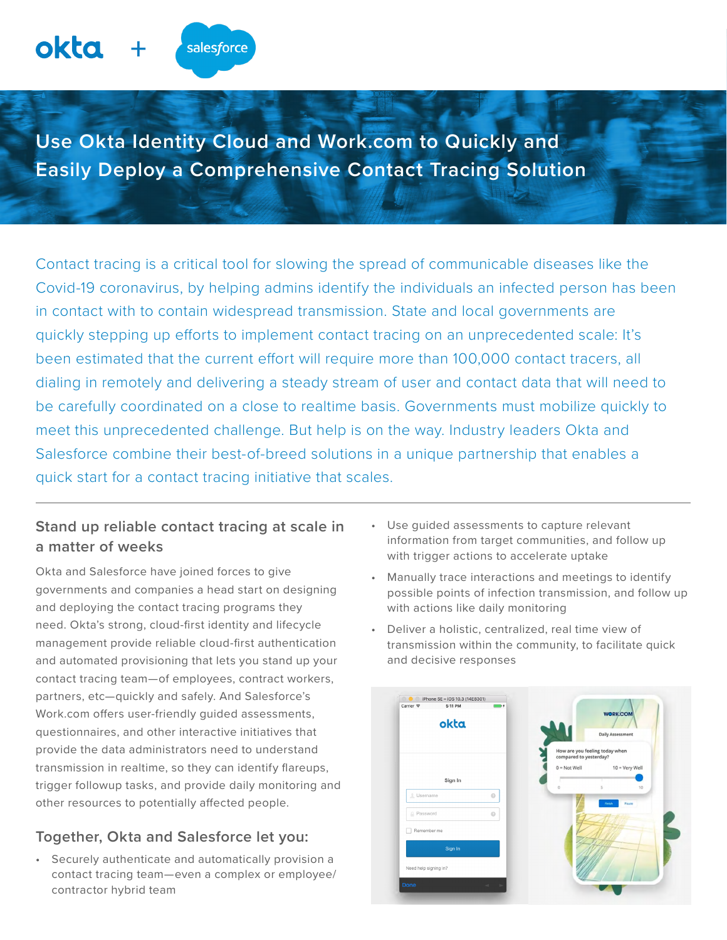Contact tracing is a critical tool for slowing the spread of communicable diseases like the Covid-19 coronavirus, by helping admins identify the individuals an infected person has been in contact with to contain widespread transmission. State and local governments are quickly stepping up efforts to implement contact tracing on an unprecedented scale: It's been estimated that the current effort will require more than 100,000 contact tracers, all dialing in remotely and delivering a steady stream of user and contact data that will need to be carefully coordinated on a close to realtime basis. Governments must mobilize quickly to meet this unprecedented challenge. But help is on the way. Industry leaders Okta and Salesforce combine their best-of-breed solutions in a unique partnership that enables a quick start for a contact tracing initiative that scales.

# **Stand up reliable contact tracing at scale in a matter of weeks**

**+**

salesforce

okta

Okta and Salesforce have joined forces to give governments and companies a head start on designing and deploying the contact tracing programs they need. Okta's strong, cloud-first identity and lifecycle management provide reliable cloud-first authentication and automated provisioning that lets you stand up your contact tracing team—of employees, contract workers, partners, etc—quickly and safely. And Salesforce's Work.com offers user-friendly guided assessments, questionnaires, and other interactive initiatives that provide the data administrators need to understand transmission in realtime, so they can identify flareups, trigger followup tasks, and provide daily monitoring and other resources to potentially affected people.

## **Together, Okta and Salesforce let you:**

• Securely authenticate and automatically provision a contact tracing team—even a complex or employee/ contractor hybrid team

- Use guided assessments to capture relevant information from target communities, and follow up with trigger actions to accelerate uptake
- Manually trace interactions and meetings to identify possible points of infection transmission, and follow up with actions like daily monitoring
- Deliver a holistic, centralized, real time view of transmission within the community, to facilitate quick and decisive responses